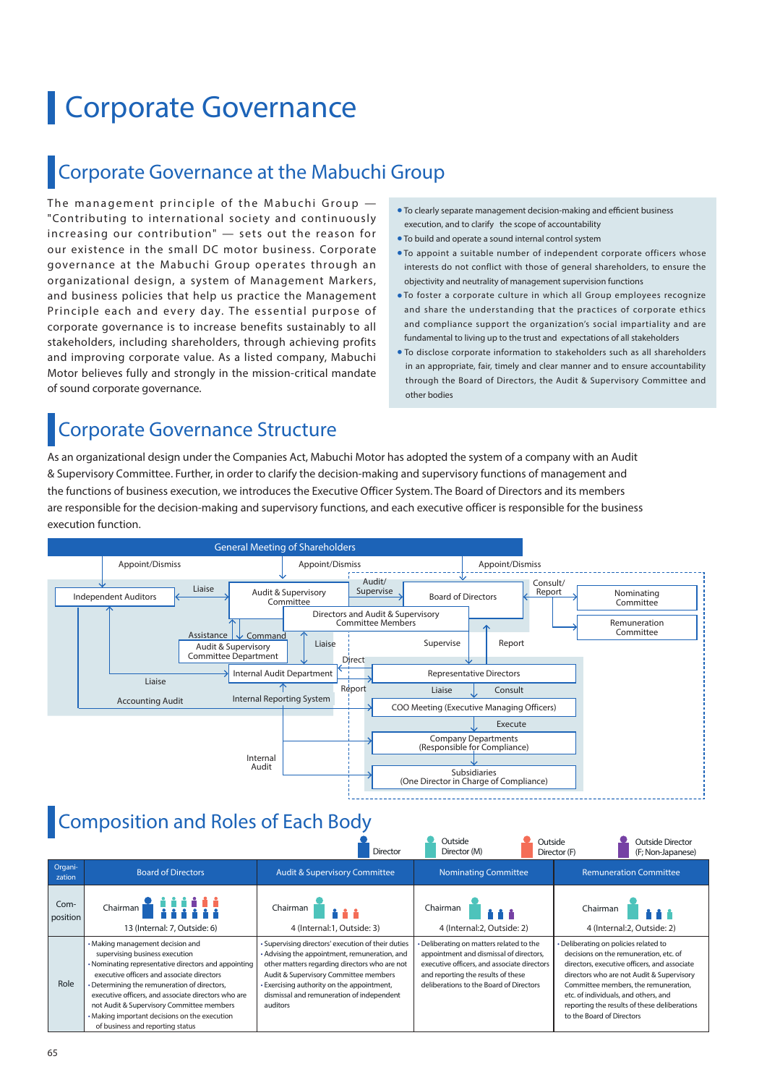# Corporate Governance

## Corporate Governance at the Mabuchi Group

The management principle of the Mabuchi Group  $-$ "Contributing to international society and continuously increasing our contribution"  $-$  sets out the reason for our existence in the small DC motor business. Corporate governance at the Mabuchi Group operates through an organizational design, a system of Management Markers, and business policies that help us practice the Management Principle each and every day. The essential purpose of corporate governance is to increase benefits sustainably to all stakeholders, including shareholders, through achieving profits and improving corporate value. As a listed company, Mabuchi Motor believes fully and strongly in the mission-critical mandate of sound corporate governance.

- To clearly separate management decision-making and efficient business execution, and to clarify the scope of accountability
- To build and operate a sound internal control system
- To appoint a suitable number of independent corporate officers whose interests do not conflict with those of general shareholders, to ensure the objectivity and neutrality of management supervision functions
- To foster a corporate culture in which all Group employees recognize and share the understanding that the practices of corporate ethics and compliance support the organization's social impartiality and are fundamental to living up to the trust and expectations of all stakeholders
- To disclose corporate information to stakeholders such as all shareholders in an appropriate, fair, timely and clear manner and to ensure accountability through the Board of Directors, the Audit & Supervisory Committee and other bodies

## Corporate Governance Structure

As an organizational design under the Companies Act, Mabuchi Motor has adopted the system of a company with an Audit & Supervisory Committee. Further, in order to clarify the decision-making and supervisory functions of management and the functions of business execution, we introduces the Executive Officer System. The Board of Directors and its members are responsible for the decision-making and supervisory functions, and each executive officer is responsible for the business execution function.



## **Composition and Roles of Each Body**

|                   |                                                                                                                                                                                                                                                                                                                                                                                                                   | Director                                                                                                                                                                                                                                                                                           | Outside<br>Outside<br>Director (M)                                                                                                                                                                                  | <b>Outside Director</b><br>(F; Non-Japanese)<br>Director (F)                                                                                                                                                                                                                                                                              |  |
|-------------------|-------------------------------------------------------------------------------------------------------------------------------------------------------------------------------------------------------------------------------------------------------------------------------------------------------------------------------------------------------------------------------------------------------------------|----------------------------------------------------------------------------------------------------------------------------------------------------------------------------------------------------------------------------------------------------------------------------------------------------|---------------------------------------------------------------------------------------------------------------------------------------------------------------------------------------------------------------------|-------------------------------------------------------------------------------------------------------------------------------------------------------------------------------------------------------------------------------------------------------------------------------------------------------------------------------------------|--|
| Organi-<br>zation | <b>Board of Directors</b>                                                                                                                                                                                                                                                                                                                                                                                         | <b>Audit &amp; Supervisory Committee</b>                                                                                                                                                                                                                                                           | <b>Nominating Committee</b>                                                                                                                                                                                         | <b>Remuneration Committee</b>                                                                                                                                                                                                                                                                                                             |  |
| Com-<br>position  | Chairman <b>&amp; iiiiii</b><br>Chairman<br>13 (Internal: 7, Outside: 6)<br>4 (Internal: 1, Outside: 3)                                                                                                                                                                                                                                                                                                           |                                                                                                                                                                                                                                                                                                    | Chairman<br>4 (Internal: 2. Outside: 2)                                                                                                                                                                             | Chairman<br>4 (Internal: 2, Outside: 2)                                                                                                                                                                                                                                                                                                   |  |
| Role              | • Making management decision and<br>supervising business execution<br>• Nominating representative directors and appointing<br>executive officers and associate directors<br>• Determining the remuneration of directors,<br>executive officers, and associate directors who are<br>not Audit & Supervisory Committee members<br>• Making important decisions on the execution<br>of business and reporting status | · Supervising directors' execution of their duties<br>• Advising the appointment, remuneration, and<br>other matters regarding directors who are not<br>Audit & Supervisory Committee members<br>Exercising authority on the appointment,<br>dismissal and remuneration of independent<br>auditors | • Deliberating on matters related to the<br>appointment and dismissal of directors,<br>executive officers, and associate directors<br>and reporting the results of these<br>deliberations to the Board of Directors | · Deliberating on policies related to<br>decisions on the remuneration, etc. of<br>directors, executive officers, and associate<br>directors who are not Audit & Supervisory<br>Committee members, the remuneration,<br>etc. of individuals, and others, and<br>reporting the results of these deliberations<br>to the Board of Directors |  |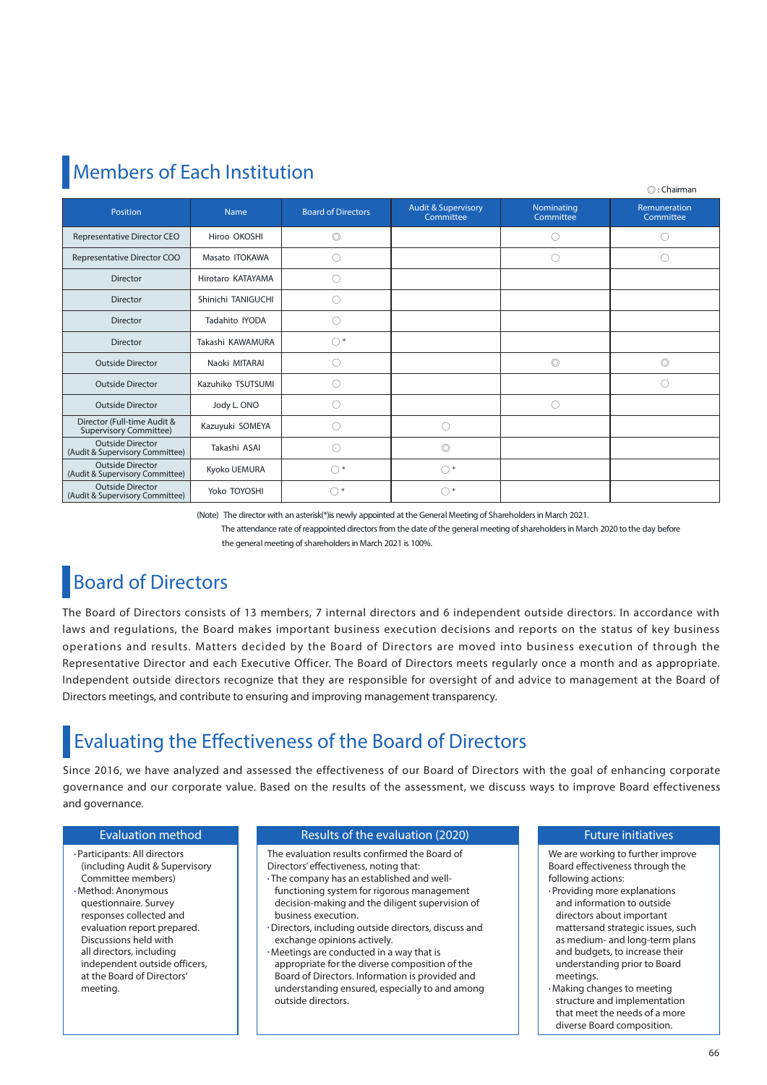## **Members of Each Institution**

|                                                              |                    |                           |                                             |                         | ⊜∷ Cridiriidii            |
|--------------------------------------------------------------|--------------------|---------------------------|---------------------------------------------|-------------------------|---------------------------|
| Position                                                     | <b>Name</b>        | <b>Board of Directors</b> | <b>Audit &amp; Supervisory</b><br>Committee | Nominating<br>Committee | Remuneration<br>Committee |
| Representative Director CEO                                  | Hiroo OKOSHI       | $\circledcirc$            |                                             |                         |                           |
| Representative Director COO                                  | Masato ITOKAWA     |                           |                                             | . .                     | O                         |
| <b>Director</b>                                              | Hirotaro KATAYAMA  |                           |                                             |                         |                           |
| <b>Director</b>                                              | Shinichi TANIGUCHI |                           |                                             |                         |                           |
| <b>Director</b>                                              | Tadahito IYODA     |                           |                                             |                         |                           |
| <b>Director</b>                                              | Takashi KAWAMURA   | $\bigcap$                 |                                             |                         |                           |
| <b>Outside Director</b>                                      | Naoki MITARAI      | 0                         |                                             | $\circledcirc$          | $\circledcirc$            |
| <b>Outside Director</b>                                      | Kazuhiko TSUTSUMI  | 0                         |                                             |                         |                           |
| <b>Outside Director</b>                                      | Jody L. ONO        | . .                       |                                             | .)                      |                           |
| Director (Full-time Audit &<br><b>Supervisory Committee)</b> | Kazuyuki SOMEYA    |                           | С.                                          |                         |                           |
| <b>Outside Director</b><br>(Audit & Supervisory Committee)   | Takashi ASAI       |                           | $\circledcirc$                              |                         |                           |
| <b>Outside Director</b><br>(Audit & Supervisory Committee)   | Kyoko UEMURA       | $\bigcap$                 | $\bigcirc$                                  |                         |                           |
| <b>Outside Director</b><br>(Audit & Supervisory Committee)   | Yoko TOYOSHI       | $\bigcap$ *               | $\bigcap^*$                                 |                         |                           |

(Note) The director with an asterisk(\*)is newly appointed at the General Meeting of Shareholders in March 2021.

 The attendance rate of reappointed directors from the date of the general meeting of shareholders in March 2020 to the day before the general meeting of shareholders in March 2021 is 100%.

## **Board of Directors**

The Board of Directors consists of 13 members, 7 internal directors and 6 independent outside directors. In accordance with laws and regulations, the Board makes important business execution decisions and reports on the status of key business operations and results. Matters decided by the Board of Directors are moved into business execution of through the Representative Director and each Executive Officer. The Board of Directors meets regularly once a month and as appropriate. Independent outside directors recognize that they are responsible for oversight of and advice to management at the Board of Directors meetings, and contribute to ensuring and improving management transparency.

## **Evaluating the Effectiveness of the Board of Directors**

Since 2016, we have analyzed and assessed the effectiveness of our Board of Directors with the goal of enhancing corporate governance and our corporate value. Based on the results of the assessment, we discuss ways to improve Board effectiveness and governance.

#### Evaluation method

• Participants: All directors (including Audit & Supervisory Committee members) • Method: Anonymous questionnaire. Survey responses collected and evaluation report prepared. Discussions held with all directors, including independent outside officers, at the Board of Directors' meeting.

#### Results of the evaluation (2020)

The evaluation results confirmed the Board of Directors' effectiveness, noting that:

- The company has an established and wellfunctioning system for rigorous management decision-making and the diligent supervision of business execution.
- •Directors, including outside directors, discuss and exchange opinions actively.
- Meetings are conducted in a way that is appropriate for the diverse composition of the Board of Directors. Information is provided and understanding ensured, especially to and among outside directors.

#### Future initiatives

 $\otimes$  chairmanns

- We are working to further improve Board effectiveness through the following actions:
- Providing more explanations and information to outside directors about important mattersand strategic issues, such as medium- and long-term plans and budgets, to increase their understanding prior to Board meetings.
- Making changes to meeting structure and implementation that meet the needs of a more diverse Board composition.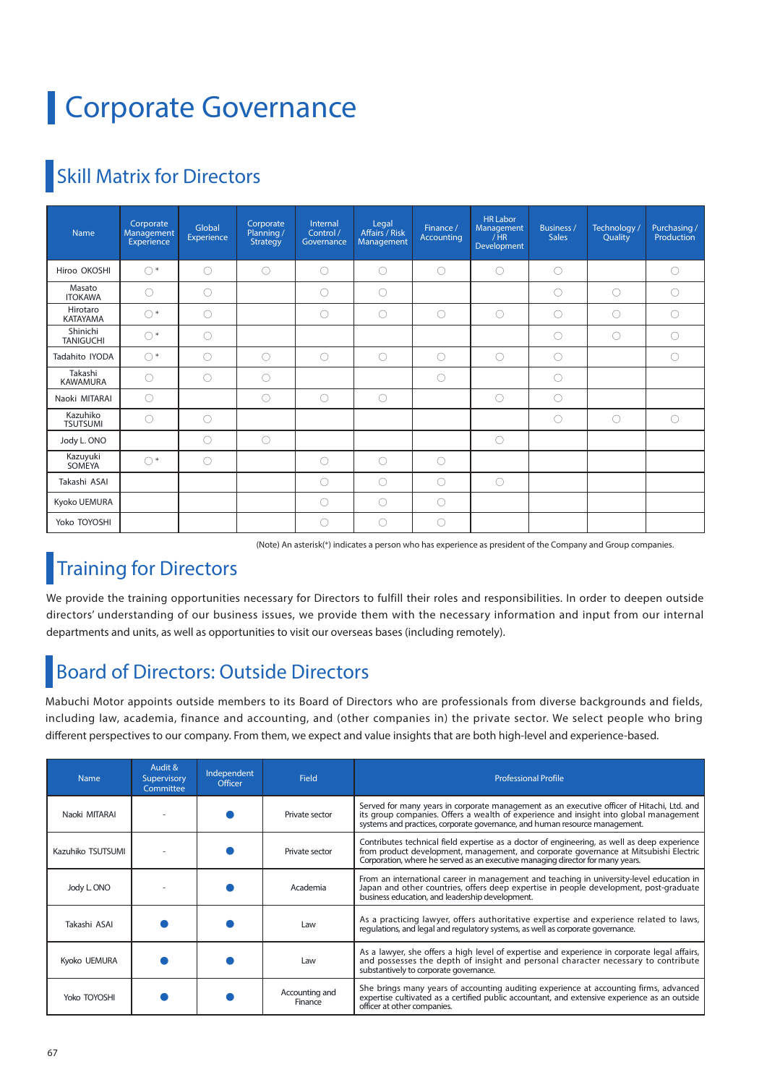# Corporate Governance

## **Skill Matrix for Directors**

| <b>Name</b>                  | Corporate<br>Management<br>Experience | Global<br>Experience | Corporate<br>Planning /<br>Strategy | Internal<br>Control /<br>Governance | Legal<br>Affairs / Risk<br>Management | Finance /<br>Accounting | <b>HR Labor</b><br>Management<br>/HR<br>Development | <b>Business /</b><br><b>Sales</b> | Technology /<br>Quality | Purchasing /<br>Production |
|------------------------------|---------------------------------------|----------------------|-------------------------------------|-------------------------------------|---------------------------------------|-------------------------|-----------------------------------------------------|-----------------------------------|-------------------------|----------------------------|
| Hiroo OKOSHI                 | $\bigcap$                             | $\bigcirc$           | $\bigcirc$                          | O                                   | О                                     | $\bigcirc$              | ∩                                                   | $\circlearrowright$               |                         | ∩                          |
| Masato<br><b>ITOKAWA</b>     | 0                                     | $\circ$              |                                     | $\circ$                             | O                                     |                         |                                                     | $\circlearrowright$               | $\bigcirc$              | $\bigcirc$                 |
| Hirotaro<br><b>KATAYAMA</b>  | $\bigcap$                             | $\circ$              |                                     | $\circ$                             | O                                     | $\bigcirc$              | ◯                                                   | $\circlearrowright$               | Ο                       | ∩                          |
| Shinichi<br><b>TANIGUCHI</b> | $\bigcirc$                            | $\circ$              |                                     |                                     |                                       |                         |                                                     | $\circlearrowright$               | $\bigcirc$              | $\bigcirc$                 |
| Tadahito IYODA               | $\bigcirc$                            | $\bigcirc$           | $\bigcirc$                          | $\bigcirc$                          | O                                     | $\bigcirc$              | $\bigcirc$                                          | $\circlearrowright$               |                         | $\bigcirc$                 |
| Takashi<br><b>KAWAMURA</b>   | $\bigcirc$                            | $\bigcirc$           | $\bigcirc$                          |                                     |                                       | $\bigcirc$              |                                                     | $\circlearrowright$               |                         |                            |
| Naoki MITARAI                | $\bigcirc$                            |                      | $\bigcirc$                          | $\circlearrowright$                 | $\circ$                               |                         | $\bigcirc$                                          | $\circ$                           |                         |                            |
| Kazuhiko<br><b>TSUTSUMI</b>  | $\bigcirc$                            | $\circ$              |                                     |                                     |                                       |                         |                                                     | $\circlearrowright$               | $\circ$                 | $\bigcirc$                 |
| Jody L. ONO                  |                                       | $\circ$              | $\bigcirc$                          |                                     |                                       |                         | $\bigcirc$                                          |                                   |                         |                            |
| Kazuyuki<br>SOMEYA           | $()^*$                                | $\bigcirc$           |                                     | $\bigcirc$                          | O                                     | $\bigcirc$              |                                                     |                                   |                         |                            |
| Takashi ASAI                 |                                       |                      |                                     | $\bigcirc$                          | O                                     | $\bigcirc$              | $\bigcirc$                                          |                                   |                         |                            |
| Kyoko UEMURA                 |                                       |                      |                                     | $\bigcirc$                          | O                                     | $\bigcirc$              |                                                     |                                   |                         |                            |
| Yoko TOYOSHI                 |                                       |                      |                                     | O                                   | O                                     | $\bigcirc$              |                                                     |                                   |                         |                            |

(Note) An asterisk(\*) indicates a person who has experience as president of the Company and Group companies.

## **Training for Directors**

We provide the training opportunities necessary for Directors to fulfill their roles and responsibilities. In order to deepen outside directors' understanding of our business issues, we provide them with the necessary information and input from our internal departments and units, as well as opportunities to visit our overseas bases (including remotely).

## Board of Directors: Outside Directors

Mabuchi Motor appoints outside members to its Board of Directors who are professionals from diverse backgrounds and fields, including law, academia, finance and accounting, and (other companies in) the private sector. We select people who bring different perspectives to our company. From them, we expect and value insights that are both high-level and experience-based.

| <b>Name</b>       | Audit &<br>Supervisory<br>Committee | Independent<br><b>Officer</b> | <b>Field</b>              | <b>Professional Profile</b>                                                                                                                                                                                                                                             |  |
|-------------------|-------------------------------------|-------------------------------|---------------------------|-------------------------------------------------------------------------------------------------------------------------------------------------------------------------------------------------------------------------------------------------------------------------|--|
| Naoki MITARAI     |                                     |                               | Private sector            | Served for many years in corporate management as an executive officer of Hitachi, Ltd. and<br>its group companies. Offers a wealth of experience and insight into global management<br>systems and practices, corporate governance, and human resource management.      |  |
| Kazuhiko TSUTSUMI |                                     |                               | Private sector            | Contributes technical field expertise as a doctor of engineering, as well as deep experience<br>from product development, management, and corporate governance at Mitsubishi Electric<br>Corporation, where he served as an executive managing director for many years. |  |
| Jody L. ONO       |                                     |                               | Academia                  | From an international career in management and teaching in university-level education in<br>Japan and other countries, offers deep expertise in people development, post-graduate<br>business education, and leadership development.                                    |  |
| Takashi ASAI      |                                     |                               | Law                       | As a practicing lawyer, offers authoritative expertise and experience related to laws,<br>regulations, and legal and regulatory systems, as well as corporate governance.                                                                                               |  |
| Kyoko UEMURA      |                                     |                               | Law                       | As a lawyer, she offers a high level of expertise and experience in corporate legal affairs,<br>and possesses the depth of insight and personal character necessary to contribute<br>substantively to corporate governance.                                             |  |
| Yoko TOYOSHI      |                                     |                               | Accounting and<br>Finance | She brings many years of accounting auditing experience at accounting firms, advanced<br>expertise cultivated as a certified public accountant, and extensive experience as an outside<br>officer at other companies.                                                   |  |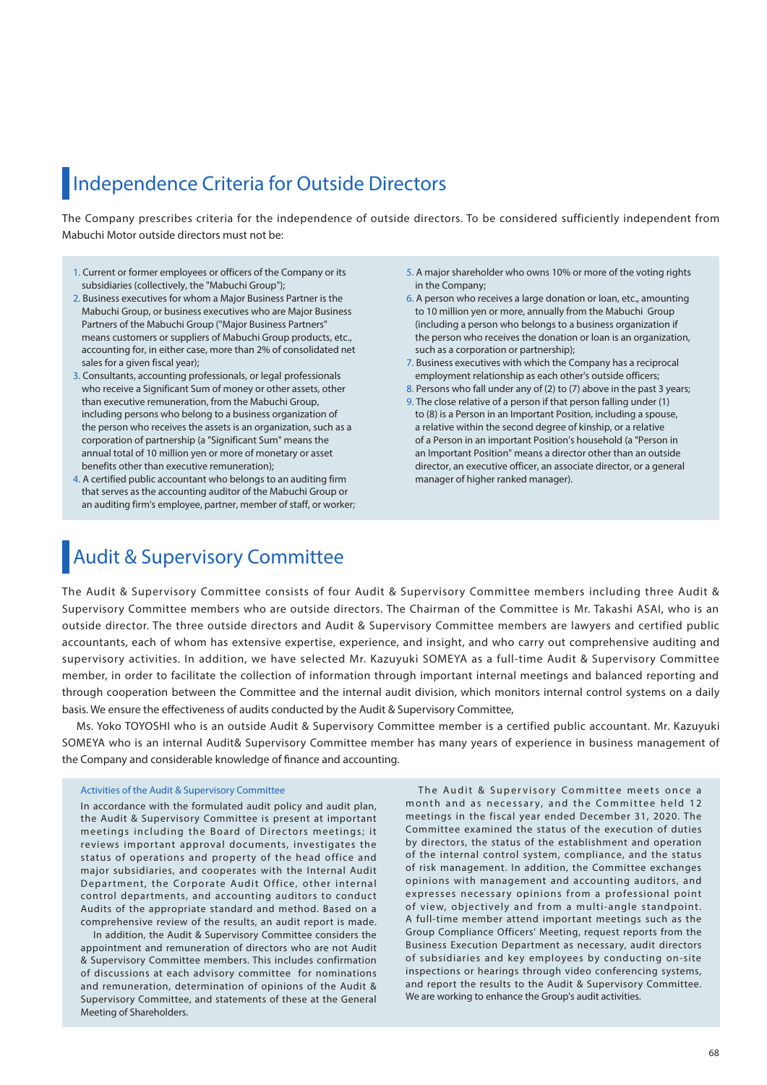## Independence Criteria for Outside Directors

The Company prescribes criteria for the independence of outside directors. To be considered sufficiently independent from Mabuchi Motor outside directors must not be:

- 1. Current or former employees or officers of the Company or its subsidiaries (collectively, the "Mabuchi Group");
- 2. Business executives for whom a Major Business Partner is the Mabuchi Group, or business executives who are Major Business Partners of the Mabuchi Group ("Major Business Partners" means customers or suppliers of Mabuchi Group products, etc., accounting for, in either case, more than 2% of consolidated net sales for a given fiscal year);
- 3. Consultants, accounting professionals, or legal professionals who receive a Significant Sum of money or other assets, other than executive remuneration, from the Mabuchi Group, including persons who belong to a business organization of the person who receives the assets is an organization, such as a corporation of partnership (a "Significant Sum" means the annual total of 10 million yen or more of monetary or asset benefits other than executive remuneration);
- 4. A certified public accountant who belongs to an auditing firm that serves as the accounting auditor of the Mabuchi Group or an auditing firm's employee, partner, member of staff, or worker;
- 5. A major shareholder who owns 10% or more of the voting rights in the Company;
- 6. A person who receives a large donation or loan, etc., amounting to 10 million yen or more, annually from the Mabuchi Group (including a person who belongs to a business organization if the person who receives the donation or loan is an organization, such as a corporation or partnership);
- 7. Business executives with which the Company has a reciprocal employment relationship as each other's outside officers;
- 8. Persons who fall under any of (2) to (7) above in the past 3 years; 9. The close relative of a person if that person falling under (1) to (8) is a Person in an Important Position, including a spouse, a relative within the second degree of kinship, or a relative of a Person in an important Position's household (a "Person in an Important Position" means a director other than an outside director, an executive officer, an associate director, or a general

manager of higher ranked manager).

## Audit & Supervisory Committee

The Audit & Supervisory Committee consists of four Audit & Supervisory Committee members including three Audit & Supervisory Committee members who are outside directors. The Chairman of the Committee is Mr. Takashi ASAI, who is an outside director. The three outside directors and Audit & Supervisory Committee members are lawyers and certified public accountants, each of whom has extensive expertise, experience, and insight, and who carry out comprehensive auditing and supervisory activities. In addition, we have selected Mr. Kazuyuki SOMEYA as a full-time Audit & Supervisory Committee member, in order to facilitate the collection of information through important internal meetings and balanced reporting and through cooperation between the Committee and the internal audit division, which monitors internal control systems on a daily basis. We ensure the effectiveness of audits conducted by the Audit & Supervisory Committee,

 Ms. Yoko TOYOSHI who is an outside Audit & Supervisory Committee member is a certified public accountant. Mr. Kazuyuki SOMEYA who is an internal Audit& Supervisory Committee member has many years of experience in business management of the Company and considerable knowledge of finance and accounting.

#### Activities of the Audit & Supervisory Committee

In accordance with the formulated audit policy and audit plan, the Audit & Supervisory Committee is present at important meetings including the Board of Directors meetings; it reviews important approval documents, investigates the status of operations and property of the head office and major subsidiaries, and cooperates with the Internal Audit Department, the Corporate Audit Office, other internal control departments, and accounting auditors to conduct Audits of the appropriate standard and method. Based on a comprehensive review of the results, an audit report is made.

 In addition, the Audit & Supervisory Committee considers the appointment and remuneration of directors who are not Audit & Supervisory Committee members. This includes confirmation of discussions at each advisory committee for nominations and remuneration, determination of opinions of the Audit & Supervisory Committee, and statements of these at the General Meeting of Shareholders.

The Audit & Supervisory Committee meets once a month and as necessary, and the Committee held 12 meetings in the fiscal year ended December 31, 2020. The Committee examined the status of the execution of duties by directors, the status of the establishment and operation of the internal control system, compliance, and the status of risk management. In addition, the Committee exchanges opinions with management and accounting auditors, and expresses necessary opinions from a professional point of view, objectively and from a multi-angle standpoint. A full-time member attend important meetings such as the Group Compliance Officers' Meeting, request reports from the Business Execution Department as necessary, audit directors of subsidiaries and key employees by conducting on-site inspections or hearings through video conferencing systems, and report the results to the Audit & Supervisory Committee. We are working to enhance the Group's audit activities.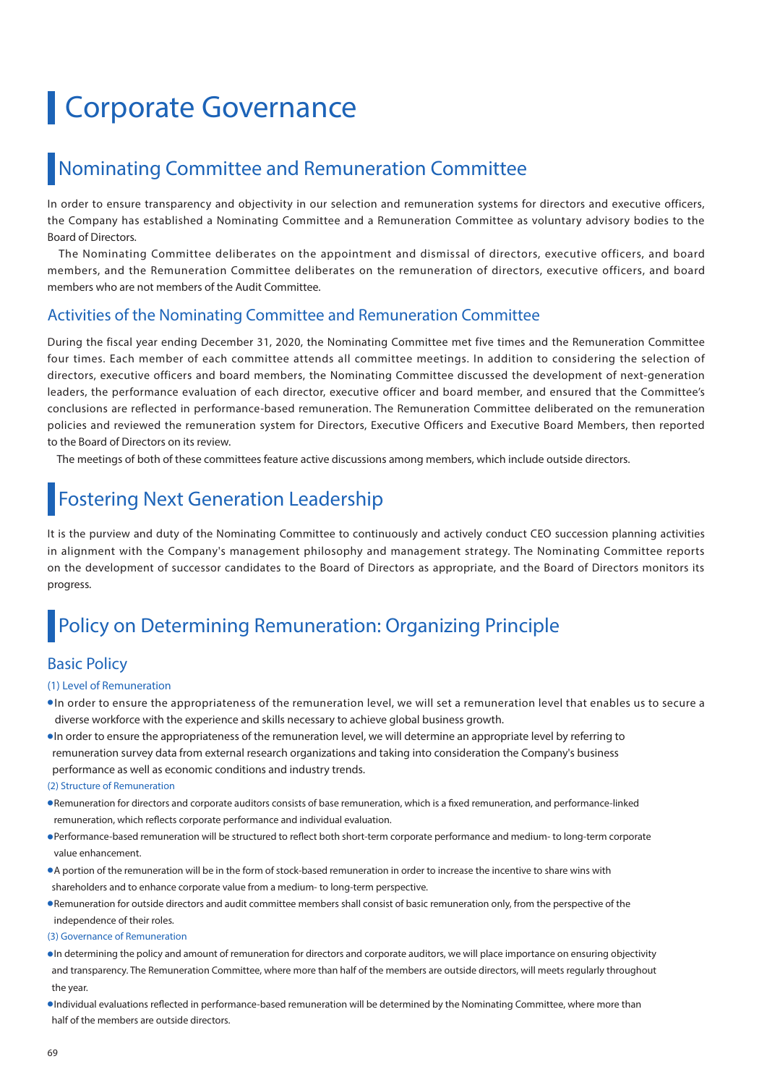# **Corporate Governance**

### Nominating Committee and Remuneration Committee

In order to ensure transparency and objectivity in our selection and remuneration systems for directors and executive officers, the Company has established a Nominating Committee and a Remuneration Committee as voluntary advisory bodies to the Board of Directors.

 The Nominating Committee deliberates on the appointment and dismissal of directors, executive officers, and board members, and the Remuneration Committee deliberates on the remuneration of directors, executive officers, and board members who are not members of the Audit Committee.

### Activities of the Nominating Committee and Remuneration Committee

During the fiscal year ending December 31, 2020, the Nominating Committee met five times and the Remuneration Committee four times. Each member of each committee attends all committee meetings. In addition to considering the selection of directors, executive officers and board members, the Nominating Committee discussed the development of next-generation leaders, the performance evaluation of each director, executive officer and board member, and ensured that the Committee's conclusions are reflected in performance-based remuneration. The Remuneration Committee deliberated on the remuneration policies and reviewed the remuneration system for Directors, Executive Officers and Executive Board Members, then reported to the Board of Directors on its review.

The meetings of both of these committees feature active discussions among members, which include outside directors.

## Fostering Next Generation Leadership

It is the purview and duty of the Nominating Committee to continuously and actively conduct CEO succession planning activities in alignment with the Company's management philosophy and management strategy. The Nominating Committee reports on the development of successor candidates to the Board of Directors as appropriate, and the Board of Directors monitors its progress.

## Policy on Determining Remuneration: Organizing Principle

### Basic Policy

#### (1) Level of Remuneration

- In order to ensure the appropriateness of the remuneration level, we will set a remuneration level that enables us to secure a diverse workforce with the experience and skills necessary to achieve global business growth.
- ●In order to ensure the appropriateness of the remuneration level, we will determine an appropriate level by referring to remuneration survey data from external research organizations and taking into consideration the Company's business performance as well as economic conditions and industry trends.

(2) Structure of Remuneration

- ●Remuneration for directors and corporate auditors consists of base remuneration, which is a fixed remuneration, and performance-linked remuneration, which reflects corporate performance and individual evaluation.
- ●Performance-based remuneration will be structured to reflect both short-term corporate performance and medium- to long-term corporate value enhancement.
- ●A portion of the remuneration will be in the form of stock-based remuneration in order to increase the incentive to share wins with shareholders and to enhance corporate value from a medium- to long-term perspective.
- ●Remuneration for outside directors and audit committee members shall consist of basic remuneration only, from the perspective of the independence of their roles.
- (3) Governance of Remuneration
- ●In determining the policy and amount of remuneration for directors and corporate auditors, we will place importance on ensuring objectivity and transparency. The Remuneration Committee, where more than half of the members are outside directors, will meets regularly throughout the year.
- ●Individual evaluations reflected in performance-based remuneration will be determined by the Nominating Committee, where more than half of the members are outside directors.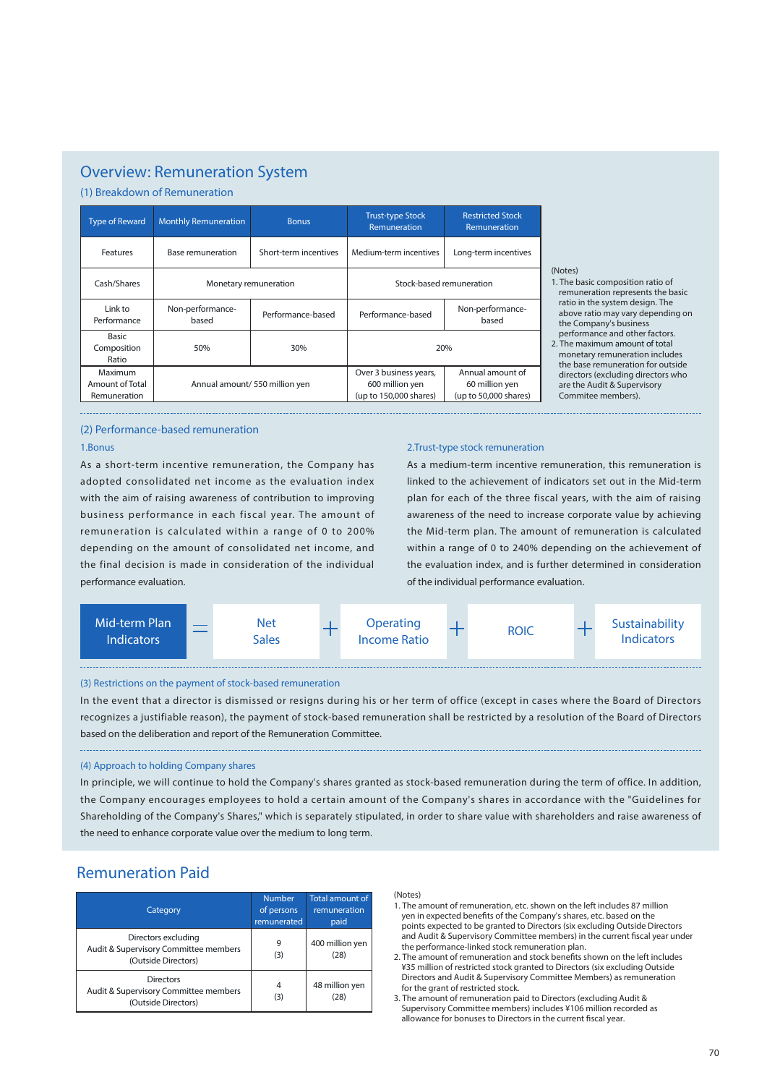### Overview: Remuneration System

(1) Breakdown of Remuneration

| <b>Type of Reward</b>                      | <b>Monthly Remuneration</b>                    | <b>Bonus</b>                   | <b>Trust-type Stock</b><br>Remuneration                             | <b>Restricted Stock</b><br>Remuneration                     |  |
|--------------------------------------------|------------------------------------------------|--------------------------------|---------------------------------------------------------------------|-------------------------------------------------------------|--|
| Features                                   | Base remuneration                              | Short-term incentives          | Medium-term incentives                                              | Long-term incentives                                        |  |
| Cash/Shares                                | Monetary remuneration                          |                                | Stock-based remuneration                                            |                                                             |  |
| Link to<br>Performance                     | Non-performance-<br>Performance-based<br>based |                                | Performance-based                                                   | Non-performance-<br>based                                   |  |
| <b>Basic</b><br>Composition<br>Ratio       | 50%<br>30%                                     |                                | 20%                                                                 |                                                             |  |
| Maximum<br>Amount of Total<br>Remuneration |                                                | Annual amount/ 550 million yen | Over 3 business years,<br>600 million yen<br>(up to 150,000 shares) | Annual amount of<br>60 million yen<br>(up to 50,000 shares) |  |

#### (Notes)

- 1. The basic composition ratio of remuneration represents the basic ratio in the system design. The above ratio may vary depending on the Company's business performance and other factors.
- 2. The maximum amount of total monetary remuneration includes the base remuneration for outside directors (excluding directors who are the Audit & Supervisory Commitee members).

#### (2) Performance-based remuneration

#### 1.Bonus

As a short-term incentive remuneration, the Company has adopted consolidated net income as the evaluation index with the aim of raising awareness of contribution to improving business performance in each fiscal year. The amount of remuneration is calculated within a range of 0 to 200% depending on the amount of consolidated net income, and the final decision is made in consideration of the individual performance evaluation.

#### 2.Trust-type stock remuneration

As a medium-term incentive remuneration, this remuneration is linked to the achievement of indicators set out in the Mid-term plan for each of the three fiscal years, with the aim of raising awareness of the need to increase corporate value by achieving the Mid-term plan. The amount of remuneration is calculated within a range of 0 to 240% depending on the achievement of the evaluation index, and is further determined in consideration of the individual performance evaluation.



#### (3) Restrictions on the payment of stock-based remuneration

In the event that a director is dismissed or resigns during his or her term of office (except in cases where the Board of Directors recognizes a justifiable reason), the payment of stock-based remuneration shall be restricted by a resolution of the Board of Directors based on the deliberation and report of the Remuneration Committee.

#### (4) Approach to holding Company shares

In principle, we will continue to hold the Company's shares granted as stock-based remuneration during the term of office. In addition, the Company encourages employees to hold a certain amount of the Company's shares in accordance with the "Guidelines for Shareholding of the Company's Shares," which is separately stipulated, in order to share value with shareholders and raise awareness of the need to enhance corporate value over the medium to long term.

### Remuneration Paid

| Category                                                                            | <b>Number</b><br>of persons<br>remunerated | Total amount of<br>remuneration<br>paid |
|-------------------------------------------------------------------------------------|--------------------------------------------|-----------------------------------------|
| Directors excluding<br>Audit & Supervisory Committee members<br>(Outside Directors) | 9<br>(3)                                   | 400 million yen<br>(28)                 |
| Directors<br>Audit & Supervisory Committee members<br>(Outside Directors)           | 4<br>(3)                                   | 48 million yen<br>(28)                  |

#### (Notes)

- 1. The amount of remuneration, etc. shown on the left includes 87 million yen in expected benefits of the Company's shares, etc. based on the points expected to be granted to Directors (six excluding Outside Directors and Audit & Supervisory Committee members) in the current fiscal year under the performance-linked stock remuneration plan.
- 2. The amount of remuneration and stock benefits shown on the left includes ¥35 million of restricted stock granted to Directors (six excluding Outside Directors and Audit & Supervisory Committee Members) as remuneration for the grant of restricted stock.
- 3. The amount of remuneration paid to Directors (excluding Audit & Supervisory Committee members) includes ¥106 million recorded as allowance for bonuses to Directors in the current fiscal year.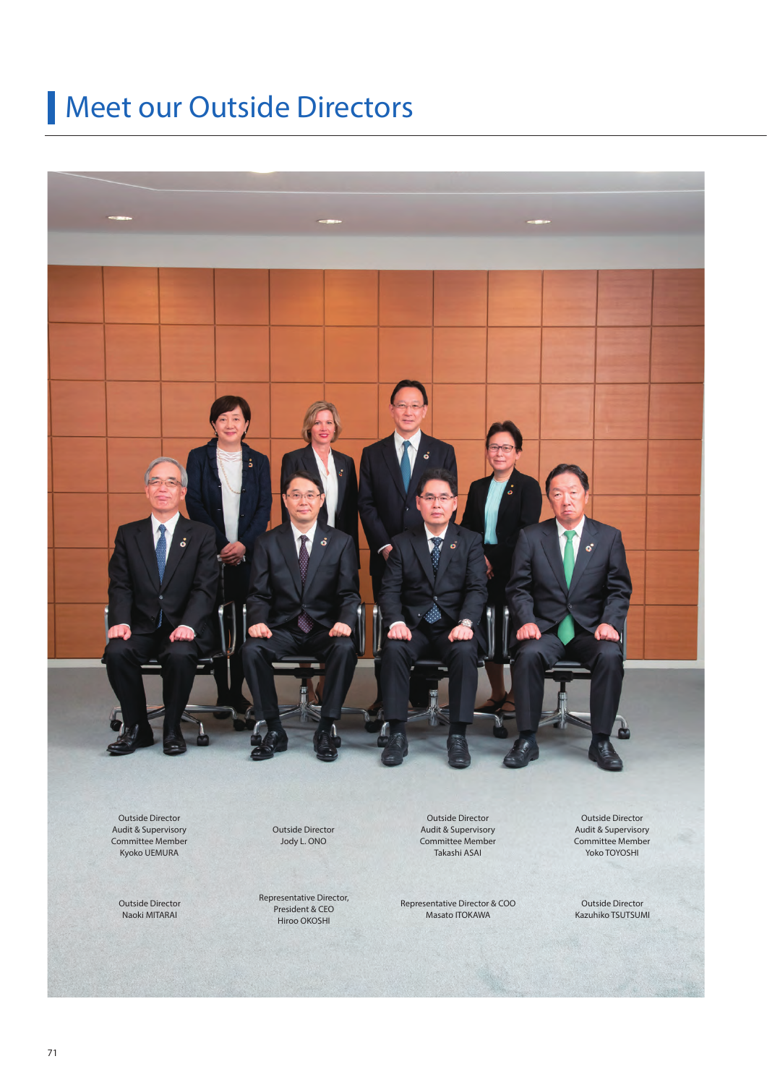# Meet our Outside Directors



Outside Director Audit & Supervisory Committee Member Kyoko UEMURA

Outside Director Naoki MITARAI

Outside Director Jody L. ONO

Representative Director, President & CEO Hiroo OKOSHI

Outside Director Audit & Supervisory Committee Member Takashi ASAI

Representative Director & COO Masato ITOKAWA

Outside Director Audit & Supervisory Committee Member Yoko TOYOSHI

Outside Director Kazuhiko TSUTSUMI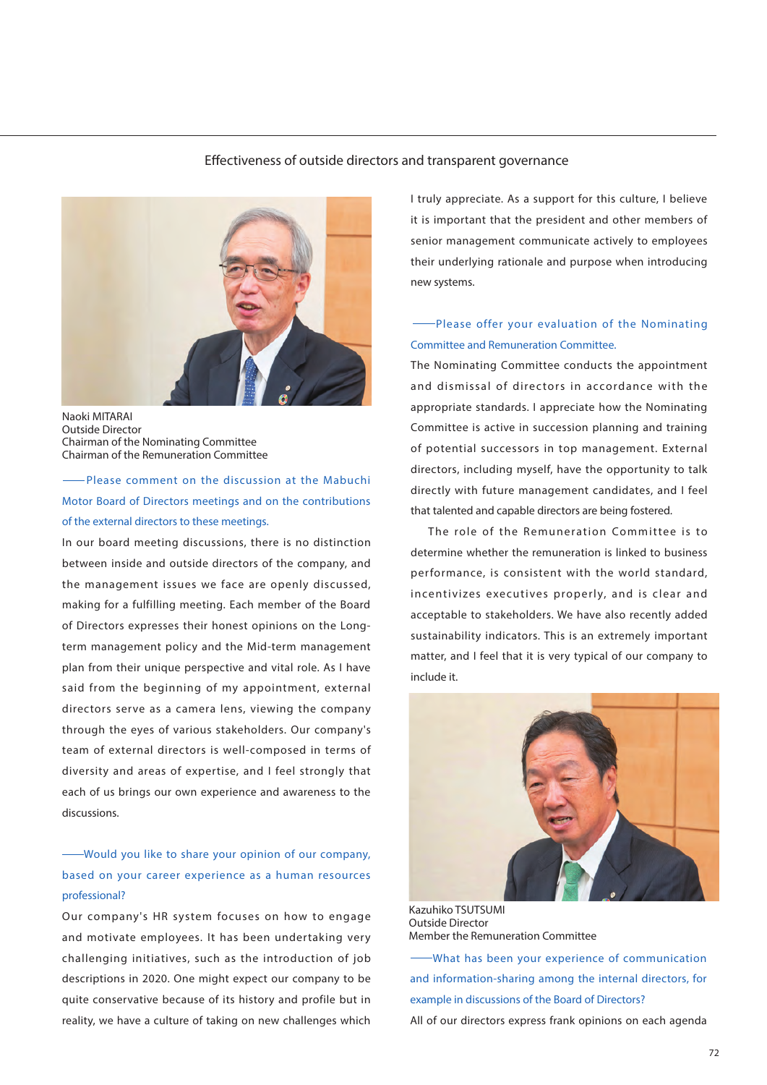#### Effectiveness of outside directors and transparent governance



Naoki MITARAI Outside Director Chairman of the Nominating Committee Chairman of the Remuneration Committee

 Please comment on the discussion at the Mabuchi Motor Board of Directors meetings and on the contributions of the external directors to these meetings.

In our board meeting discussions, there is no distinction between inside and outside directors of the company, and the management issues we face are openly discussed, making for a fulfilling meeting. Each member of the Board of Directors expresses their honest opinions on the Longterm management policy and the Mid-term management plan from their unique perspective and vital role. As I have said from the beginning of my appointment, external directors serve as a camera lens, viewing the company through the eyes of various stakeholders. Our company's team of external directors is well-composed in terms of diversity and areas of expertise, and I feel strongly that each of us brings our own experience and awareness to the discussions.

### Would you like to share your opinion of our company, based on your career experience as a human resources professional?

Our company's HR system focuses on how to engage and motivate employees. It has been undertaking very challenging initiatives, such as the introduction of job descriptions in 2020. One might expect our company to be quite conservative because of its history and profile but in reality, we have a culture of taking on new challenges which

I truly appreciate. As a support for this culture, I believe it is important that the president and other members of senior management communicate actively to employees their underlying rationale and purpose when introducing new systems.

### Please offer your evaluation of the Nominating Committee and Remuneration Committee.

The Nominating Committee conducts the appointment and dismissal of directors in accordance with the appropriate standards. I appreciate how the Nominating Committee is active in succession planning and training of potential successors in top management. External directors, including myself, have the opportunity to talk directly with future management candidates, and I feel that talented and capable directors are being fostered.

The role of the Remuneration Committee is to determine whether the remuneration is linked to business performance, is consistent with the world standard, incentivizes executives properly, and is clear and acceptable to stakeholders. We have also recently added sustainability indicators. This is an extremely important matter, and I feel that it is very typical of our company to include it.



Kazuhiko TSUTSUMI Outside Director Member the Remuneration Committee

 What has been your experience of communication and information-sharing among the internal directors, for example in discussions of the Board of Directors? All of our directors express frank opinions on each agenda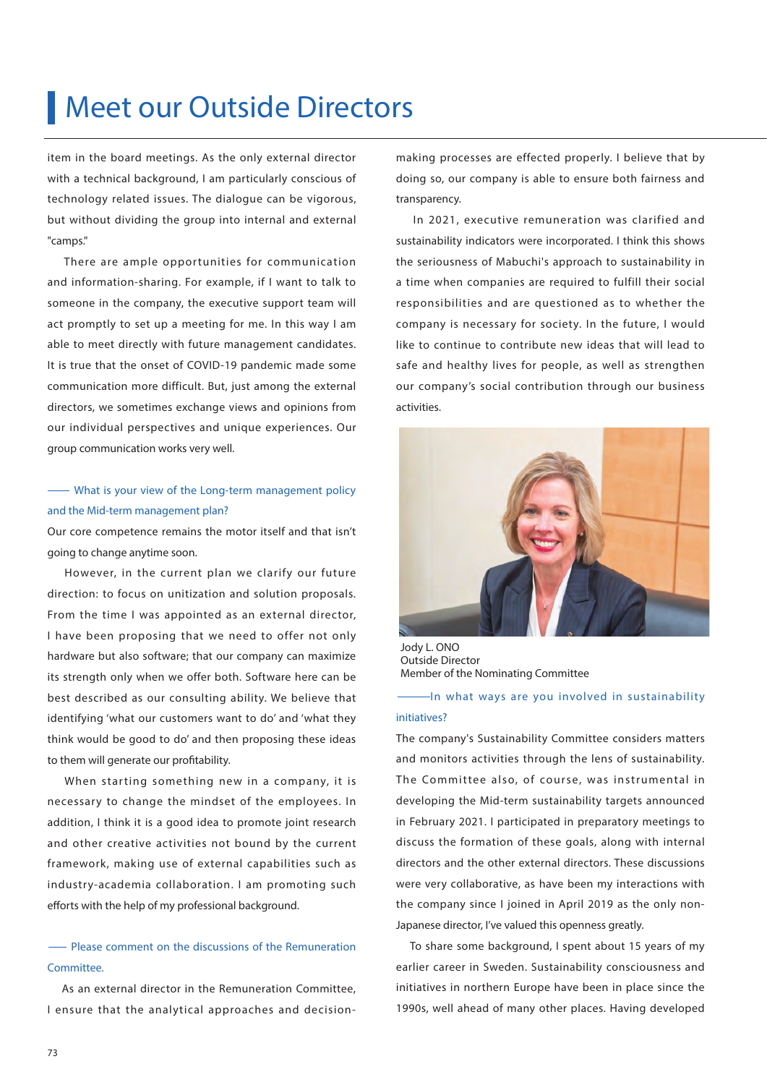# Meet our Outside Directors

item in the board meetings. As the only external director with a technical background, I am particularly conscious of technology related issues. The dialogue can be vigorous, but without dividing the group into internal and external "camps."

There are ample opportunities for communication and information-sharing. For example, if I want to talk to someone in the company, the executive support team will act promptly to set up a meeting for me. In this way I am able to meet directly with future management candidates. It is true that the onset of COVID-19 pandemic made some communication more difficult. But, just among the external directors, we sometimes exchange views and opinions from our individual perspectives and unique experiences. Our group communication works very well.

### What is your view of the Long-term management policy and the Mid-term management plan?

Our core competence remains the motor itself and that isn't going to change anytime soon.

 However, in the current plan we clarify our future direction: to focus on unitization and solution proposals. From the time I was appointed as an external director, I have been proposing that we need to offer not only hardware but also software; that our company can maximize its strength only when we offer both. Software here can be best described as our consulting ability. We believe that identifying 'what our customers want to do' and 'what they think would be good to do' and then proposing these ideas to them will generate our profitability.

When starting something new in a company, it is necessary to change the mindset of the employees. In addition, I think it is a good idea to promote joint research and other creative activities not bound by the current framework, making use of external capabilities such as industry-academia collaboration. I am promoting such efforts with the help of my professional background.

### Please comment on the discussions of the Remuneration Committee.

 As an external director in the Remuneration Committee, I ensure that the analytical approaches and decision-

making processes are effected properly. I believe that by doing so, our company is able to ensure both fairness and transparency.

 In 2021, executive remuneration was clarified and sustainability indicators were incorporated. I think this shows the seriousness of Mabuchi's approach to sustainability in a time when companies are required to fulfill their social responsibilities and are questioned as to whether the company is necessary for society. In the future, I would like to continue to contribute new ideas that will lead to safe and healthy lives for people, as well as strengthen our company's social contribution through our business activities.



Jody L. ONO Outside Director Member of the Nominating Committee

In what ways are you involved in sustainability initiatives?

The company's Sustainability Committee considers matters and monitors activities through the lens of sustainability. The Committee also, of course, was instrumental in developing the Mid-term sustainability targets announced in February 2021. I participated in preparatory meetings to discuss the formation of these goals, along with internal directors and the other external directors. These discussions were very collaborative, as have been my interactions with the company since I joined in April 2019 as the only non-Japanese director, I've valued this openness greatly.

 To share some background, I spent about 15 years of my earlier career in Sweden. Sustainability consciousness and initiatives in northern Europe have been in place since the 1990s, well ahead of many other places. Having developed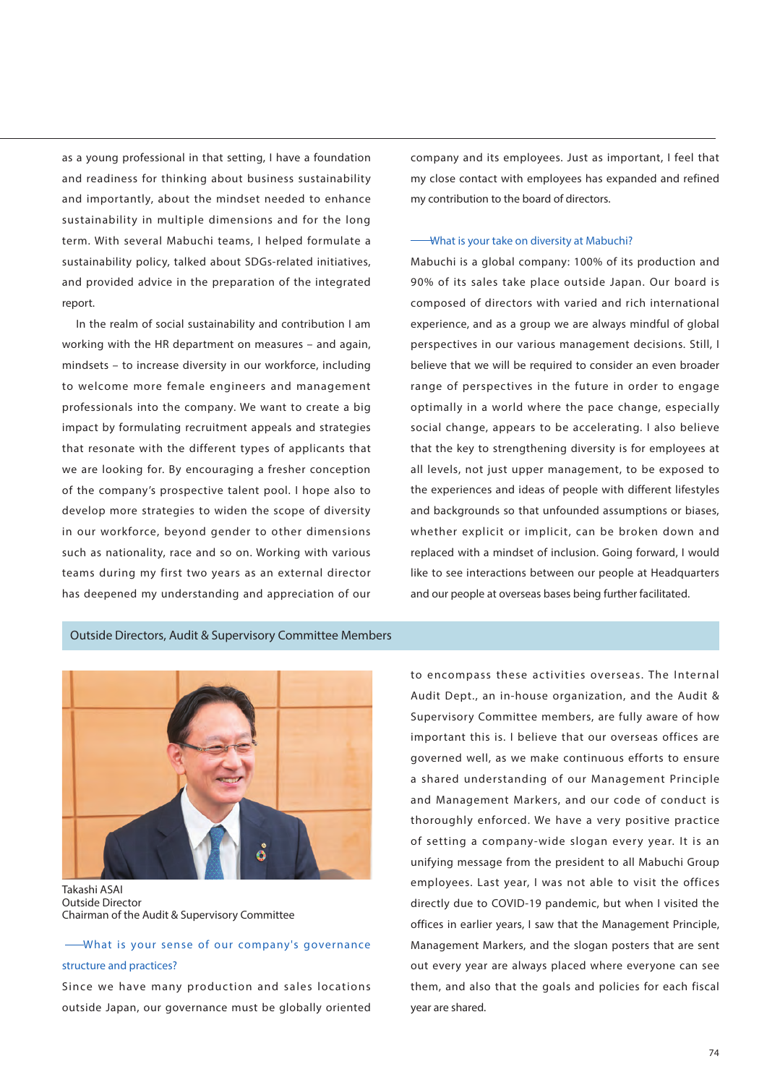as a young professional in that setting, I have a foundation and readiness for thinking about business sustainability and importantly, about the mindset needed to enhance sustainability in multiple dimensions and for the long term. With several Mabuchi teams, I helped formulate a sustainability policy, talked about SDGs-related initiatives, and provided advice in the preparation of the integrated report.

 In the realm of social sustainability and contribution I am working with the HR department on measures – and again, mindsets – to increase diversity in our workforce, including to welcome more female engineers and management professionals into the company. We want to create a big impact by formulating recruitment appeals and strategies that resonate with the different types of applicants that we are looking for. By encouraging a fresher conception of the company's prospective talent pool. I hope also to develop more strategies to widen the scope of diversity in our workforce, beyond gender to other dimensions such as nationality, race and so on. Working with various teams during my first two years as an external director has deepened my understanding and appreciation of our

company and its employees. Just as important, I feel that my close contact with employees has expanded and refined my contribution to the board of directors.

#### What is your take on diversity at Mabuchi?

Mabuchi is a global company: 100% of its production and 90% of its sales take place outside Japan. Our board is composed of directors with varied and rich international experience, and as a group we are always mindful of global perspectives in our various management decisions. Still, I believe that we will be required to consider an even broader range of perspectives in the future in order to engage optimally in a world where the pace change, especially social change, appears to be accelerating. I also believe that the key to strengthening diversity is for employees at all levels, not just upper management, to be exposed to the experiences and ideas of people with different lifestyles and backgrounds so that unfounded assumptions or biases, whether explicit or implicit, can be broken down and replaced with a mindset of inclusion. Going forward, I would like to see interactions between our people at Headquarters and our people at overseas bases being further facilitated.

### Outside Directors, Audit & Supervisory Committee Members



Outside Director Chairman of the Audit & Supervisory Committee

 What is your sense of our company's governance structure and practices?

Since we have many production and sales locations outside Japan, our governance must be globally oriented

to encompass these activities overseas. The Internal Audit Dept., an in-house organization, and the Audit & Supervisory Committee members, are fully aware of how important this is. I believe that our overseas offices are governed well, as we make continuous efforts to ensure a shared understanding of our Management Principle and Management Markers, and our code of conduct is thoroughly enforced. We have a very positive practice of setting a company-wide slogan every year. It is an unifying message from the president to all Mabuchi Group employees. Last year, I was not able to visit the offices directly due to COVID-19 pandemic, but when I visited the offices in earlier years, I saw that the Management Principle, Management Markers, and the slogan posters that are sent out every year are always placed where everyone can see them, and also that the goals and policies for each fiscal year are shared.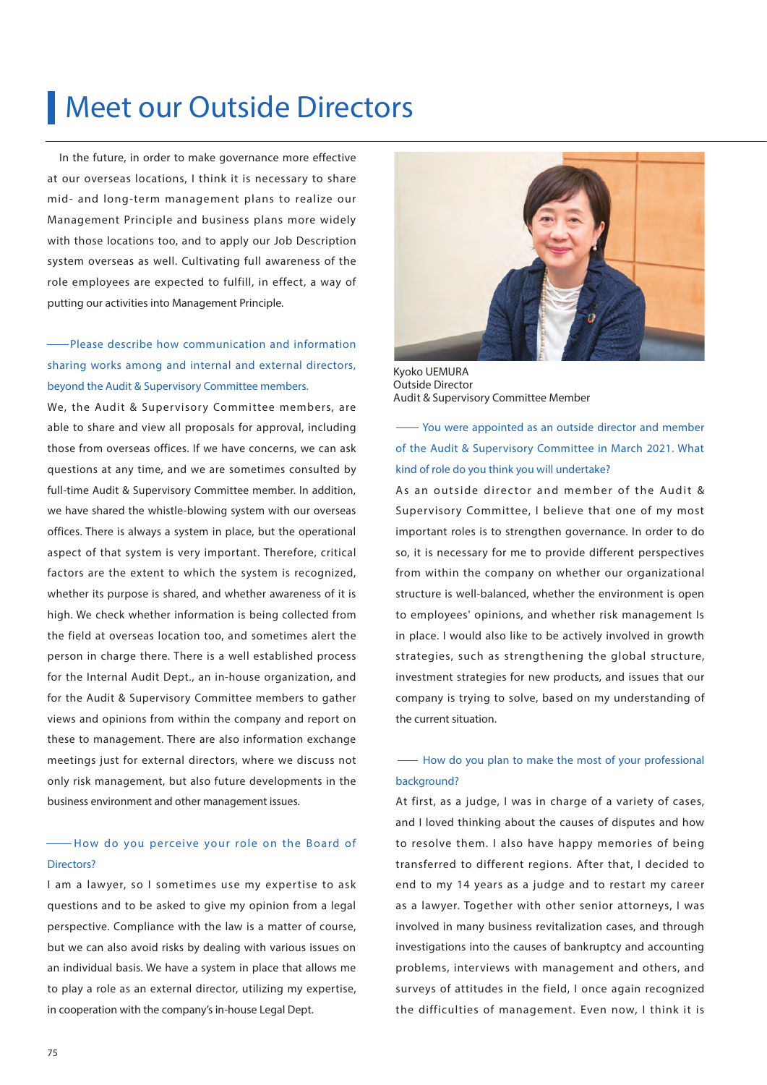# Meet our Outside Directors

In the future, in order to make governance more effective at our overseas locations, I think it is necessary to share mid- and long-term management plans to realize our Management Principle and business plans more widely with those locations too, and to apply our Job Description system overseas as well. Cultivating full awareness of the role employees are expected to fulfill, in effect, a way of putting our activities into Management Principle.

### Please describe how communication and information sharing works among and internal and external directors, beyond the Audit & Supervisory Committee members.

We, the Audit & Supervisory Committee members, are able to share and view all proposals for approval, including those from overseas offices. If we have concerns, we can ask questions at any time, and we are sometimes consulted by full-time Audit & Supervisory Committee member. In addition, we have shared the whistle-blowing system with our overseas offices. There is always a system in place, but the operational aspect of that system is very important. Therefore, critical factors are the extent to which the system is recognized, whether its purpose is shared, and whether awareness of it is high. We check whether information is being collected from the field at overseas location too, and sometimes alert the person in charge there. There is a well established process for the Internal Audit Dept., an in-house organization, and for the Audit & Supervisory Committee members to gather views and opinions from within the company and report on these to management. There are also information exchange meetings just for external directors, where we discuss not only risk management, but also future developments in the business environment and other management issues.

### -How do you perceive your role on the Board of Directors?

I am a lawyer, so I sometimes use my expertise to ask questions and to be asked to give my opinion from a legal perspective. Compliance with the law is a matter of course, but we can also avoid risks by dealing with various issues on an individual basis. We have a system in place that allows me to play a role as an external director, utilizing my expertise, in cooperation with the company's in-house Legal Dept.



Kyoko UEMURA Outside Director Audit & Supervisory Committee Member

 You were appointed as an outside director and member of the Audit & Supervisory Committee in March 2021. What kind of role do you think you will undertake?

As an outside director and member of the Audit & Supervisory Committee, I believe that one of my most important roles is to strengthen governance. In order to do so, it is necessary for me to provide different perspectives from within the company on whether our organizational structure is well-balanced, whether the environment is open to employees' opinions, and whether risk management Is in place. I would also like to be actively involved in growth strategies, such as strengthening the global structure, investment strategies for new products, and issues that our company is trying to solve, based on my understanding of the current situation.

### $\rightarrow$  How do you plan to make the most of your professional background?

At first, as a judge, I was in charge of a variety of cases, and I loved thinking about the causes of disputes and how to resolve them. I also have happy memories of being transferred to different regions. After that, I decided to end to my 14 years as a judge and to restart my career as a lawyer. Together with other senior attorneys, I was involved in many business revitalization cases, and through investigations into the causes of bankruptcy and accounting problems, interviews with management and others, and surveys of attitudes in the field, I once again recognized the difficulties of management. Even now, I think it is